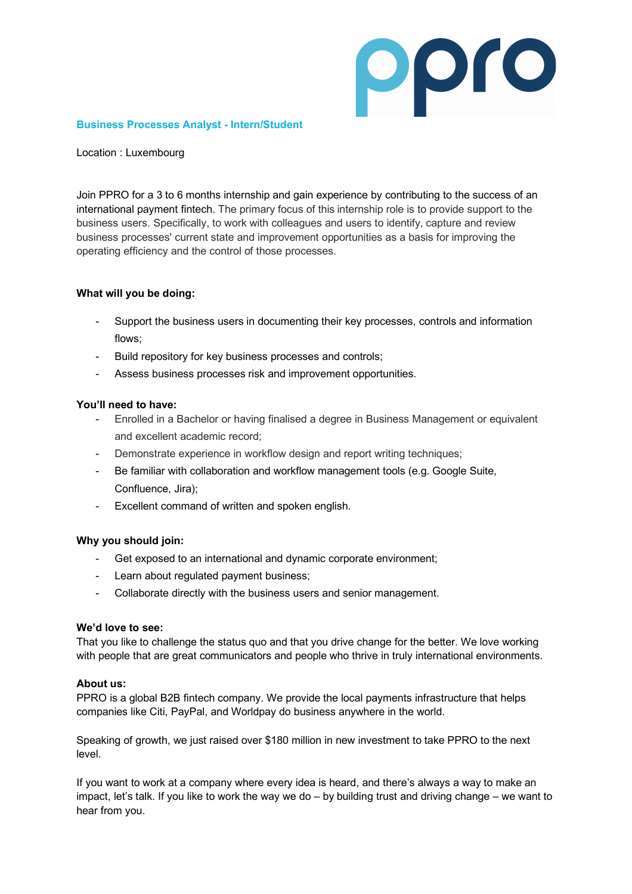

#### **Business Processes Analyst - Intern/Student**

Location : Luxembourg

Join PPRO for a 3 to 6 months internship and gain experience by contributing to the success of an international payment fintech. The primary focus of this internship role is to provide support to the business users. Specifically, to work with colleagues and users to identify, capture and review business processes' current state and improvement opportunities as a basis for improving the operating efficiency and the control of those processes.

#### **What will you be doing:**

- Support the business users in documenting their key processes, controls and information flows;
- Build repository for key business processes and controls;
- Assess business processes risk and improvement opportunities.

### **You'll need to have:**

- Enrolled in a Bachelor or having finalised a degree in Business Management or equivalent and excellent academic record;
- Demonstrate experience in workflow design and report writing techniques;
- Be familiar with collaboration and workflow management tools (e.g. Google Suite, Confluence, Jira);
- Excellent command of written and spoken english.

### **Why you should join:**

- Get exposed to an international and dynamic corporate environment;
- Learn about regulated payment business;
- Collaborate directly with the business users and senior management.

#### **We'd love to see:**

That you like to challenge the status quo and that you drive change for the better. We love working with people that are great communicators and people who thrive in truly international environments.

#### **About us:**

PPRO is a global B2B fintech company. We provide the local payments infrastructure that helps companies like Citi, PayPal, and Worldpay do business anywhere in the world.

Speaking of growth, we just raised over \$180 million in new investment to take PPRO to the next level.

If you want to work at a company where every idea is heard, and there's always a way to make an impact, let's talk. If you like to work the way we do – by building trust and driving change – we want to hear from you.